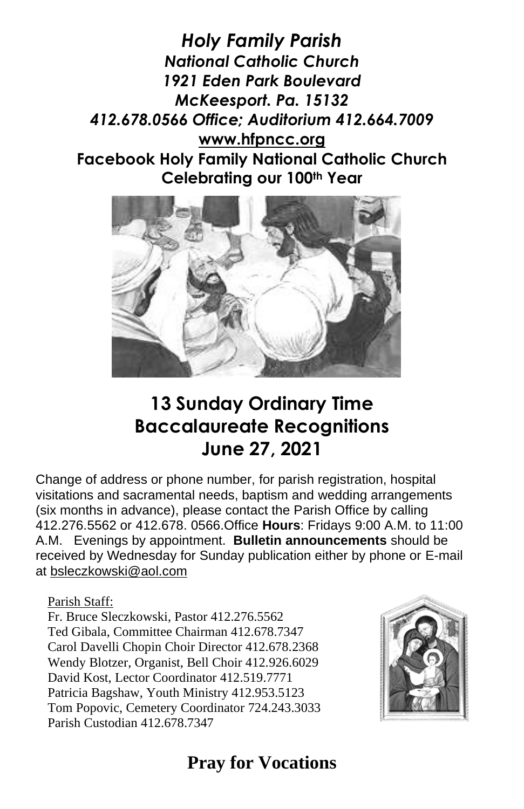*Holy Family Parish National Catholic Church 1921 Eden Park Boulevard McKeesport. Pa. 15132 412.678.0566 Office; Auditorium 412.664.7009* **[www.hfpncc.org](http://www.hfpncc.org/) Facebook Holy Family National Catholic Church Celebrating our 100th Year**



# **13 Sunday Ordinary Time Baccalaureate Recognitions June 27, 2021**

Change of address or phone number, for parish registration, hospital visitations and sacramental needs, baptism and wedding arrangements (six months in advance), please contact the Parish Office by calling 412.276.5562 or 412.678. 0566.Office **Hours**: Fridays 9:00 A.M. to 11:00 A.M. Evenings by appointment. **Bulletin announcements** should be received by Wednesday for Sunday publication either by phone or E-mail at [bsleczkowski@aol.com](mailto:bsleczkowski@aol.com)

Parish Staff:

Fr. Bruce Sleczkowski, Pastor 412.276.5562 Ted Gibala, Committee Chairman 412.678.7347 Carol Davelli Chopin Choir Director 412.678.2368 Wendy Blotzer, Organist, Bell Choir 412.926.6029 David Kost, Lector Coordinator 412.519.7771 Patricia Bagshaw, Youth Ministry 412.953.5123 Tom Popovic, Cemetery Coordinator 724.243.3033 Parish Custodian 412.678.7347



# **Pray for Vocations**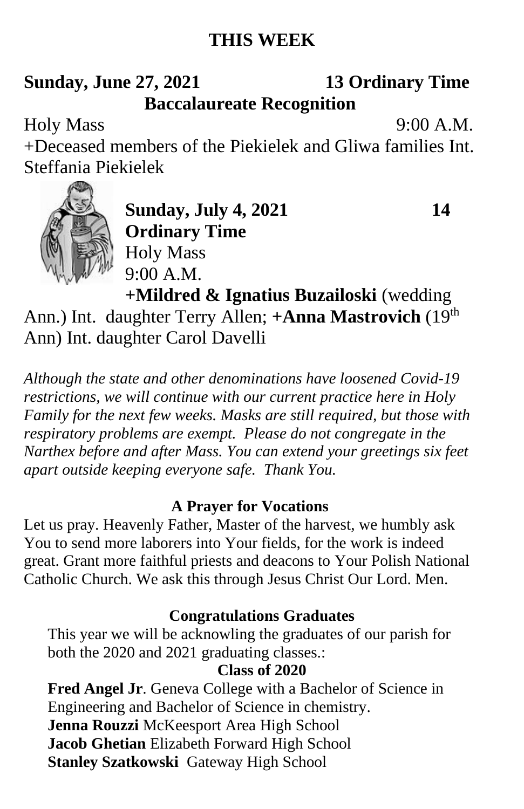## **THIS WEEK**

## **Sunday, June 27, 2021 13 Ordinary Time Baccalaureate Recognition**

Holy Mass 9:00 A.M.

+Deceased members of the Piekielek and Gliwa families Int. Steffania Piekielek



**Sunday, July 4, 2021** 14 **Ordinary Time** Holy Mass 9:00 A.M.

**+Mildred & Ignatius Buzailoski** (wedding

Ann.) Int. daughter Terry Allen; +**Anna Mastrovich** (19<sup>th</sup>) Ann) Int. daughter Carol Davelli

*Although the state and other denominations have loosened Covid-19 restrictions, we will continue with our current practice here in Holy Family for the next few weeks. Masks are still required, but those with respiratory problems are exempt. Please do not congregate in the Narthex before and after Mass. You can extend your greetings six feet apart outside keeping everyone safe. Thank You.*

#### **A Prayer for Vocations**

Let us pray. Heavenly Father, Master of the harvest, we humbly ask You to send more laborers into Your fields, for the work is indeed great. Grant more faithful priests and deacons to Your Polish National Catholic Church. We ask this through Jesus Christ Our Lord. Men.

#### **Congratulations Graduates**

This year we will be acknowling the graduates of our parish for both the 2020 and 2021 graduating classes.:

### **Class of 2020**

**Fred Angel Jr**. Geneva College with a Bachelor of Science in Engineering and Bachelor of Science in chemistry. **Jenna Rouzzi** McKeesport Area High School **Jacob Ghetian** Elizabeth Forward High School **Stanley Szatkowski** Gateway High School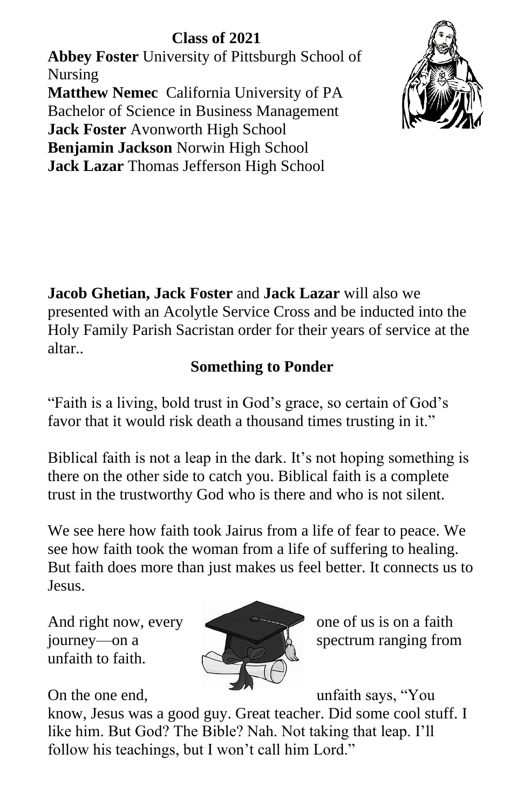### **Class of 2021 Abbey Foster** University of Pittsburgh School of Nursing **Matthew Nemec** California University of PA Bachelor of Science in Business Management **Jack Foster** Avonworth High School **Benjamin Jackson** Norwin High School **Jack Lazar** Thomas Jefferson High School



**Jacob Ghetian, Jack Foster** and **Jack Lazar** will also we presented with an Acolytle Service Cross and be inducted into the Holy Family Parish Sacristan order for their years of service at the altar..

### **Something to Ponder**

"Faith is a living, bold trust in God's grace, so certain of God's favor that it would risk death a thousand times trusting in it."

Biblical faith is not a leap in the dark. It's not hoping something is there on the other side to catch you. Biblical faith is a complete trust in the trustworthy God who is there and who is not silent.

We see here how faith took Jairus from a life of fear to peace. We see how faith took the woman from a life of suffering to healing. But faith does more than just makes us feel better. It connects us to Jesus.

And right now, every one of us is on a faith unfaith to faith.



journey—on a spectrum ranging from

On the one end, unfaith says, "You

know, Jesus was a good guy. Great teacher. Did some cool stuff. I like him. But God? The Bible? Nah. Not taking that leap. I'll follow his teachings, but I won't call him Lord."